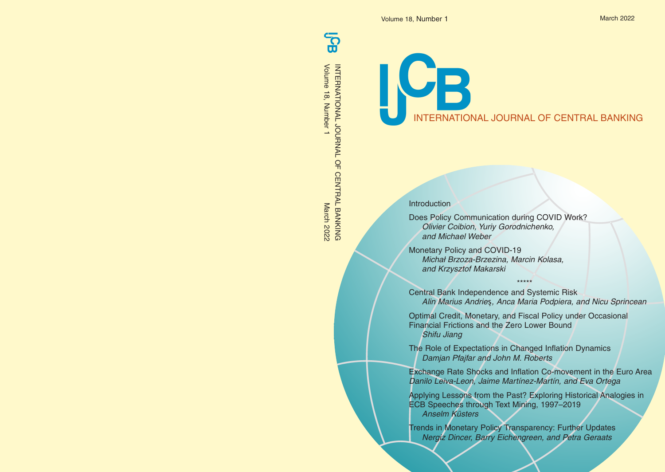$\mathbf{S}$ 

Volume 18, Number 1INTERNATIONAL JOURNAL OF CENTRAL BANKING<br>Volume 18, Number 1<br>Volume 18, Number 1 March 2022 INTERNATIONAL JOURNAL OF CENTRAL BANKING

ICB INTERNATIONAL JOURNAL OF CENTRAL BANKING

Introduction

Does Policy Communication during COVID Work? Olivier Coibion, Yuriy Gorodnichenko, and Michael Weber

Monetary Policy and COVID-19 Michał Brzoza-Brzezina, Marcin Kolasa, and Krzysztof Makarski

Central Bank Independence and Systemic Risk Alin Marius Andrieş, Anca Maria Podpiera, and Nicu Sprincean

\*\*\*\*\*

Optimal Credit, Monetary, and Fiscal Policy under Occasional Financial Frictions and the Zero Lower Bound Shifu Jiang

The Role of Expectations in Changed Inflation Dynamics Damjan Pfajfar and John M. Roberts

Exchange Rate Shocks and Inflation Co-movement in the Euro Area Danilo Leiva-Leon, Jaime Martínez-Martín, and Eva Ortega

Applying Lessons from the Past? Exploring Historical Analogies in ECB Speeches through Text Mining, 1997–2019 Anselm Küsters

Trends in Monetary Policy Transparency: Further Updates Nergiz Dincer, Barry Eichengreen, and Petra Geraats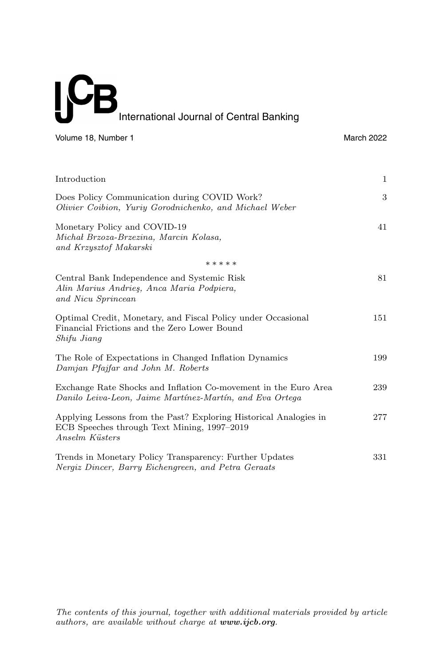# **IC**  $\overline{\mathbf{B}}$ International Journal of Central Banking

Volume 18, Number 1 March 2022

| Introduction                                                                                                                       | $\mathbf{1}$ |
|------------------------------------------------------------------------------------------------------------------------------------|--------------|
| Does Policy Communication during COVID Work?<br>Olivier Coibion, Yuriy Gorodnichenko, and Michael Weber                            | 3            |
| Monetary Policy and COVID-19<br>Michał Brzoza-Brzezina, Marcin Kolasa,<br>and Krzysztof Makarski                                   | 41           |
| *****                                                                                                                              |              |
| Central Bank Independence and Systemic Risk<br>Alin Marius Andries, Anca Maria Podpiera,<br>and Nicu Sprincean                     | 81           |
| Optimal Credit, Monetary, and Fiscal Policy under Occasional<br>Financial Frictions and the Zero Lower Bound<br>Shifu Jiang        | 151          |
| The Role of Expectations in Changed Inflation Dynamics<br>Damjan Pfajfar and John M. Roberts                                       | 199          |
| Exchange Rate Shocks and Inflation Co-movement in the Euro Area<br>Danilo Leiva-Leon, Jaime Martínez-Martín, and Eva Ortega        | 239          |
| Applying Lessons from the Past? Exploring Historical Analogies in<br>ECB Speeches through Text Mining, 1997–2019<br>Anselm Küsters | 277          |
| Trends in Monetary Policy Transparency: Further Updates<br>Nergiz Dincer, Barry Eichengreen, and Petra Geraats                     | 331          |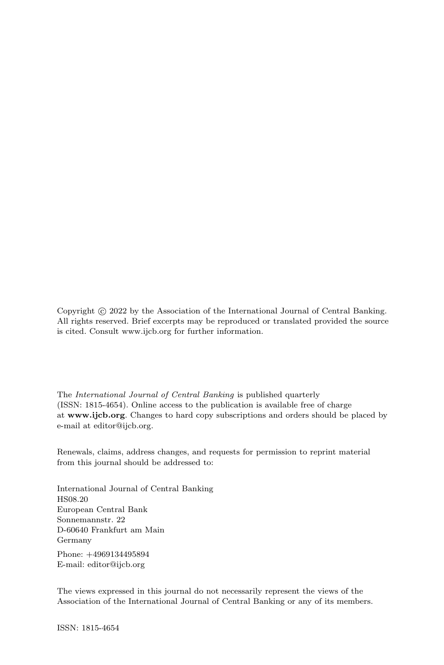Copyright  $\odot$  2022 by the Association of the International Journal of Central Banking. All rights reserved. Brief excerpts may be reproduced or translated provided the source is cited. Consult www.ijcb.org for further information.

The International Journal of Central Banking is published quarterly (ISSN: 1815-4654). Online access to the publication is available free of charge at **www.ijcb.org**. Changes to hard copy subscriptions and orders should be placed by e-mail at editor@ijcb.org.

Renewals, claims, address changes, and requests for permission to reprint material from this journal should be addressed to:

International Journal of Central Banking HS08.20 European Central Bank Sonnemannstr. 22 D-60640 Frankfurt am Main Germany

Phone: +4969134495894 E-mail: editor@ijcb.org

The views expressed in this journal do not necessarily represent the views of the Association of the International Journal of Central Banking or any of its members.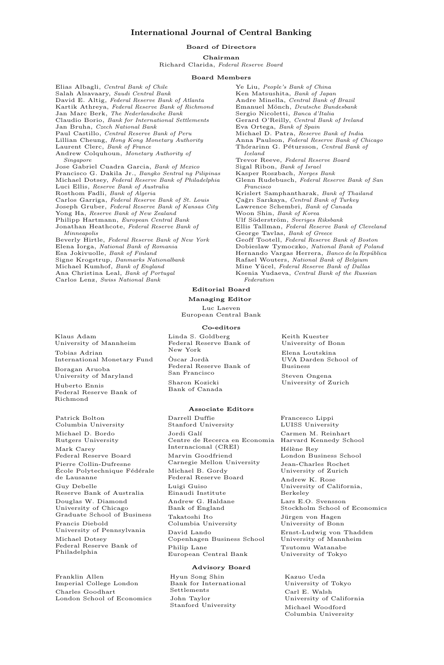# **International Journal of Central Banking**

# **Board of Directors**

**Chairman**

Richard Clarida, Federal Reserve Board

# **Board Members**

Elias Albagli, Central Bank of Chile Salah Alsavaary, Saudi Central Bank David E. Altig, Federal Reserve Bank of Atlanta Kartik Athreya, Federal Reserve Bank of Richmond Jan Marc Berk, The Nederlandsche Bank Claudio Borio, Bank for International Settlements Jan Bruha, Czech National Bank Paul Castillo, Central Reserve Bank of Peru Lillian Cheung, Hong Kong Monetary Authority Laurent Clerc, Bank of France Andrew Colquhoun, Monetary Authority of Singapore Jose Gabriel Cuadra Garcia, Bank of Mexico Francisco G. Dakila Jr., Bangko Sentral ng Pilipinas Michael Dotsey, Federal Reserve Bank of Philadelphia Luci Ellis, Reserve Bank of Australia Rosthom Fadli, Bank of Algeria Carlos Garriga, Federal Reserve Bank of St. Louis Joseph Gruber, Federal Reserve Bank of Kansas City Yong Ha, Reserve Bank of New Zealand Philipp Hartmann, European Central Bank Jonathan Heathcote, Federal Reserve Bank of Minneapolis Beverly Hirtle, Federal Reserve Bank of New York Elena Iorga, National Bank of Romania Esa Jokivuolle, Bank of Finland Signe Krogstrup, Danmarks Nationalbank Michael Kumhof, Bank of England Ana Christina Leal, Bank of Portugal Carlos Lenz, Swiss National Bank

Ye Liu, People's Bank of China Ken Matsushita, Bank of Japan Andre Minella, Central Bank of Brazil Emanuel Mönch, Deutsche Bundesbank Sergio Nicoletti, Banca d'Italia Gerard O'Reilly, Central Bank of Ireland Eva Ortega, Bank of Spain Michael D. Patra, Reserve Bank of India Anna Paulson, Federal Reserve Bank of Chicago Thórarinn G. Pétursson, Central Bank of Iceland Trevor Reeve, Federal Reserve Board Sigal Ribon, Bank of Israel Kasper Roszbach, Norges Bank Glenn Rudebusch, Federal Reserve Bank of San Francisco Krislert Samphantharak, Bank of Thailand Çağrı Sarıkaya, Central Bank of Turkey Lawrence Schembri, Bank of Canada Woon Shin, Bank of Korea Ulf Söderström, Sveriges Riksbank Ellis Tallman, Federal Reserve Bank of Cleveland George Tavlas, Bank of Greece Geoff Tootell, Federal Reserve Bank of Boston Dobieslaw Tymoczko, National Bank of Poland Hernando Vargas Herrera, Banco de la República Rafael Wouters, *National Bank of Belgium* Mine Yücel, Federal Reserve Bank of Dallas Ksenia Yudaeva, Central Bank of the Russian Federation

> Keith Kuester University of Bonn Elena Loutskina UVA Darden School of

Business Steven Ongena University of Zurich

# **Editorial Board**

**Managing Editor**

Luc Laeven European Central Bank

### **Co-editors**

Linda S. Goldberg Federal Reserve Bank of New York

 $\rm \grave{O}scar$  Jordà Federal Reserve Bank of San Francisco

Sharon Kozicki Bank of Canada

#### **Associate Editors**

Darrell Duffie Stanford University Jordi Galí Centre de Recerca en Economia Harvard Kennedy School Internacional (CREI) Marvin Goodfriend Carnegie Mellon University Michael B. Gordy Federal Reserve Board Luigi Guiso Einaudi Institute Andrew G. Haldane Bank of England Takatoshi Ito Columbia University David Lando Copenhagen Business School Philip Lane European Central Bank

## **Advisory Board**

Hyun Song Shin Bank for International Settlements John Taylor Stanford University

Francesco Lippi LUISS University Carmen M. Reinhart Hélène Rey London Business School Jean-Charles Rochet University of Zurich Andrew K. Rose University of California, Berkeley Lars E.O. Svensson Stockholm School of Economics Jürgen von Hagen University of Bonn Ernst-Ludwig von Thadden University of Mannheim

Tsutomu Watanabe University of Tokyo

Kazuo Ueda University of Tokyo Carl E. Walsh University of California Michael Woodford Columbia University

Klaus Adam University of Mannheim Tobias Adrian International Monetary Fund Boragan Aruoba University of Maryland Huberto Ennis

Federal Reserve Bank of Richmond

Patrick Bolton Columbia University Michael D. Bordo Rutgers University Mark Carey Federal Reserve Board Pierre Collin-Dufresne École Polytechnique Fédérale de Lausanne Guy Debelle Reserve Bank of Australia Douglas W. Diamond University of Chicago Graduate School of Business Francis Diebold University of Pennsylvania Michael Dotsey Federal Reserve Bank of Philadelphia

Franklin Allen Imperial College London Charles Goodhart London School of Economics